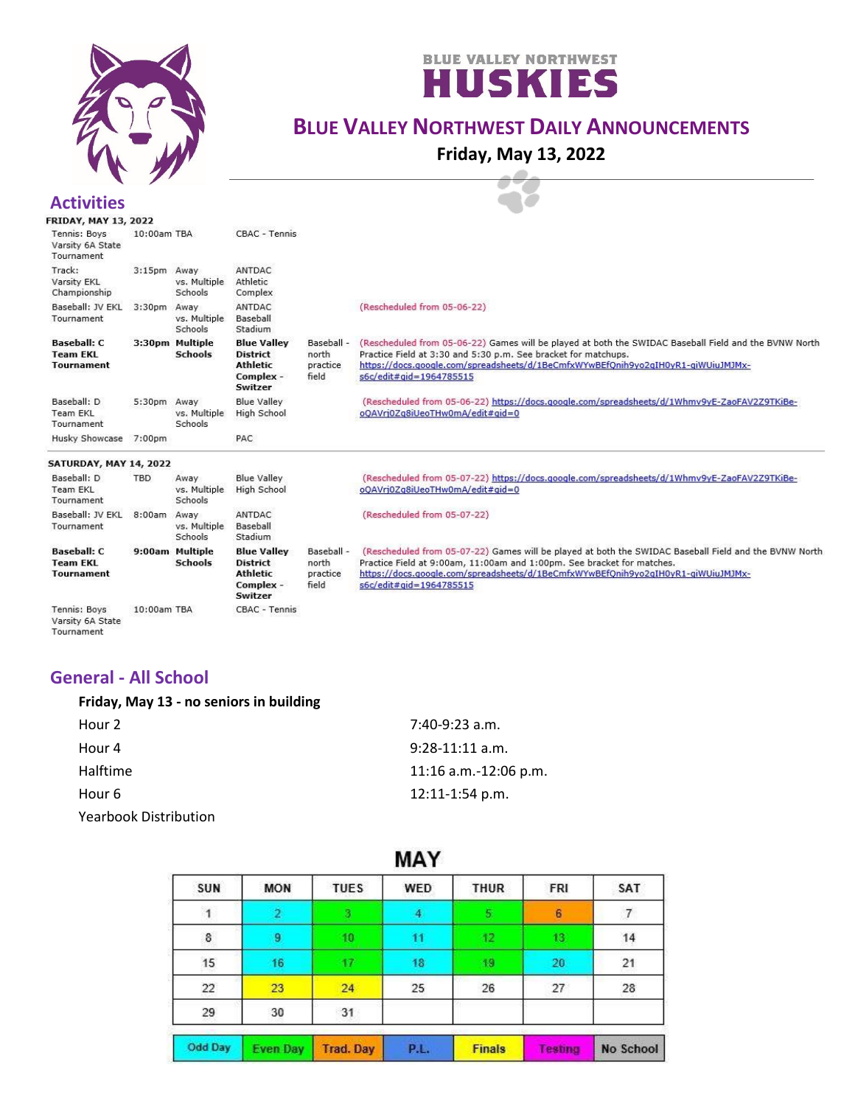



# **BLUE VALLEY NORTHWEST DAILY ANNOUNCEMENTS**

**Friday, May 13, 2022**

#### **Activities**<br>FRIDAY, MAY 13, 2022 Tennis: Boys 10:00am TBA CBAC - Tennis Varsity 6A State Tournament Track: 3:15pm Away ANTDAC vs. Multiple Varsity FKI **Athletic** Championship Schools Complex Baseball: JV EKL 3:30pm Away ANTDAC (Rescheduled from 05-06-22) vs. Multiple Baseball Tournament Schools Stadium **Baseball: C** 3:30pm Multiple **Blue Valley** Baseball -(Rescheduled from 05-06-22) Games will be played at both the SWIDAC Baseball Field and the BVNW North **Team EKL Schools District** north Practice Field at 3:30 and 5:30 p.m. See bracket for matchups. **Athletic** https://docs.google.com/spreadsheets/d/1BeCmfxWYwBEfQnih9yo2gIH0yR1-giWUiuJMJMx-**Tournament** practice Complex field s6c/edit#gid=1964785515 Switzer Baseball: D **Blue Valley** (Rescheduled from 05-06-22) https://docs.google.com/spreadsheets/d/1Whmv9yE-ZaoFAV2Z9TKiBe-5:30pm Away **Team EKL** vs. Multiple **High School** oQAVrj0Zq8iUeoTHw0mA/edit#gid=0 Tournament Schools Husky Showcase 7:00pm PAC SATURDAY, MAY 14, 2022 (Rescheduled from 05-07-22) https://docs.google.com/spreadsheets/d/1Whmv9yE-ZaoFAV2Z9TKiBe-Baseball: D TBD Away **Blue Valley Team EKL** vs. Multiple High School oQAVrj0Zq8iUeoTHw0mA/edit#gid=0 Tournament Schools Baseball: JV EKL 8:00am Away ANTDAC (Rescheduled from 05-07-22) Tournament vs. Multiple Baseball Schools Stadium 9:00am Multiple **Blue Valley** (Rescheduled from 05-07-22) Games will be played at both the SWIDAC Baseball Field and the BVNW North **Baseball: C** Baseball -**Team EKL Schools District** north Practice Field at 9:00am, 11:00am and 1:00pm. See bracket for matches. **Tournament Athletic** practice https://docs.google.com/spreadsheets/d/1BeCmfxWYwBEfQnih9yo2qIH0yR1-giWUiuJMJMx-Complex field s6c/edit#gid=1964785515 Switzer CBAC - Tennis Tennis: Boys 10:00am TBA

Varsity 6A State Tournament

#### **General - All School**

| Friday, May 13 - no seniors in building |                       |
|-----------------------------------------|-----------------------|
| Hour 2                                  | 7:40-9:23 a.m.        |
| Hour 4                                  | $9:28-11:11$ a.m.     |
| Halftime                                | 11:16 a.m.-12:06 p.m. |
| Hour 6                                  | $12:11 - 1:54$ p.m.   |

Yearbook Distribution

| IVIM I         |                 |                  |             |               |         |           |  |  |
|----------------|-----------------|------------------|-------------|---------------|---------|-----------|--|--|
| SUN            | <b>MON</b>      | <b>TUES</b>      | WED         | <b>THUR</b>   | FRI     | SAT       |  |  |
| 1              | 2               | я                | 4           | 5.            | 6       | 7         |  |  |
| $\bf 8$        | 9               | 10               | 11          | 42            | 13      | 14        |  |  |
| 15             | 16              |                  | 18          | 49            | 20      | 21        |  |  |
| 22             | 23              | 24               | 25          | 26            | 27      | $28\,$    |  |  |
| 29             | 30              | 31               |             |               |         |           |  |  |
| <b>Odd Day</b> | <b>Even Day</b> | <b>Trad. Day</b> | <b>P.L.</b> | <b>Finals</b> | Testing | No School |  |  |

## $MN$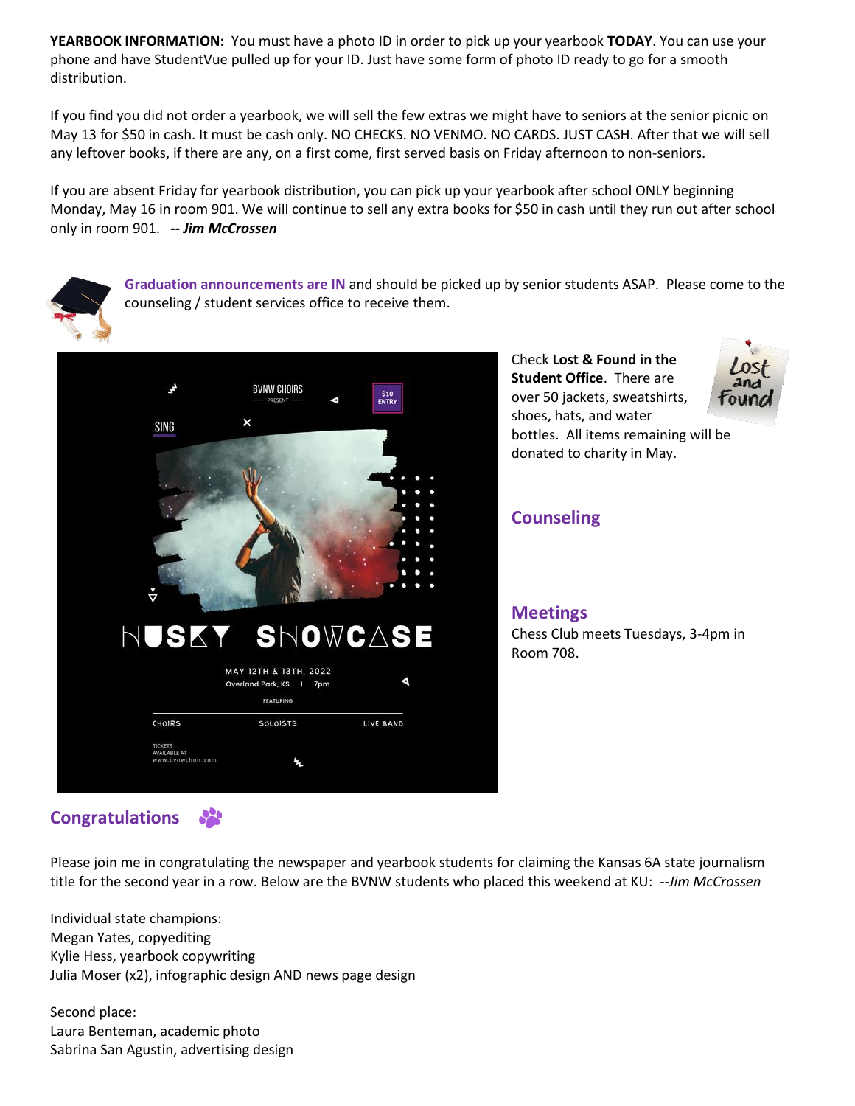**YEARBOOK INFORMATION:** You must have a photo ID in order to pick up your yearbook **TODAY**. You can use your phone and have StudentVue pulled up for your ID. Just have some form of photo ID ready to go for a smooth distribution.

If you find you did not order a yearbook, we will sell the few extras we might have to seniors at the senior picnic on May 13 for \$50 in cash. It must be cash only. NO CHECKS. NO VENMO. NO CARDS. JUST CASH. After that we will sell any leftover books, if there are any, on a first come, first served basis on Friday afternoon to non-seniors.

If you are absent Friday for yearbook distribution, you can pick up your yearbook after school ONLY beginning Monday, May 16 in room 901. We will continue to sell any extra books for \$50 in cash until they run out after school only in room 901. *-- Jim McCrossen*



**Graduation announcements are IN** and should be picked up by senior students ASAP. Please come to the counseling / student services office to receive them.



Check **Lost & Found in the Student Office**. There are over 50 jackets, sweatshirts, shoes, hats, and water bottles. All items remaining will be donated to charity in May.

### **Counseling**

**Meetings**

Chess Club meets Tuesdays, 3-4pm in Room 708.

#### $\bullet$ **Congratulations**

Please join me in congratulating the newspaper and yearbook students for claiming the Kansas 6A state journalism title for the second year in a row. Below are the BVNW students who placed this weekend at KU: *--Jim McCrossen*

Individual state champions: Megan Yates, copyediting Kylie Hess, yearbook copywriting Julia Moser (x2), infographic design AND news page design

Second place: Laura Benteman, academic photo Sabrina San Agustin, advertising design